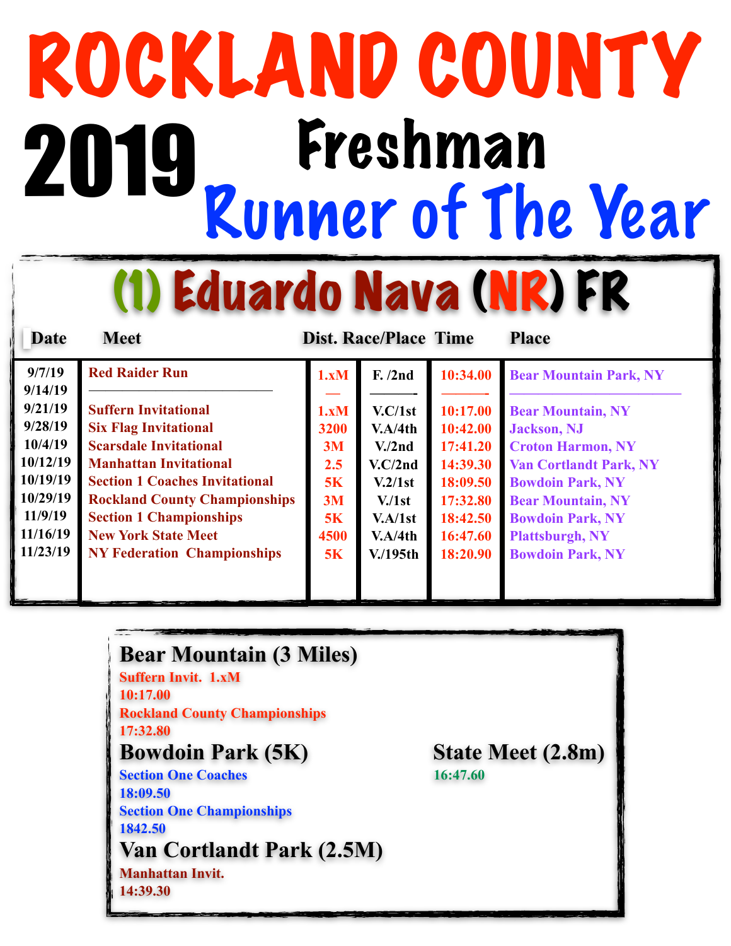# ROCKLAND COUNTY<br>2019 Freshman<br>Runner of The Year 2019 Freshman

(1) Eduardo Nava (NR) FR

| <b>Date</b> | <b>Meet</b>                           |      | <b>Dist. Race/Place Time</b> |          | <b>Place</b>                  |
|-------------|---------------------------------------|------|------------------------------|----------|-------------------------------|
| 9/7/19      | <b>Red Raider Run</b>                 | 1.xM | F. /2nd                      | 10:34.00 | <b>Bear Mountain Park, NY</b> |
| 9/14/19     |                                       |      |                              |          |                               |
| 9/21/19     | <b>Suffern Invitational</b>           | 1.xM | V.C/1st                      | 10:17.00 | <b>Bear Mountain, NY</b>      |
| 9/28/19     | <b>Six Flag Invitational</b>          | 3200 | V.A/4th                      | 10:42.00 | <b>Jackson</b> , NJ           |
| 10/4/19     | <b>Scarsdale Invitational</b>         | 3M   | V <sub>1</sub> /2nd          | 17:41.20 | <b>Croton Harmon, NY</b>      |
| 10/12/19    | <b>Manhattan Invitational</b>         | 2.5  | V.C/2nd                      | 14:39.30 | <b>Van Cortlandt Park, NY</b> |
| 10/19/19    | <b>Section 1 Coaches Invitational</b> | 5K   | V.2/1st                      | 18:09.50 | <b>Bowdoin Park, NY</b>       |
| 10/29/19    | <b>Rockland County Championships</b>  | 3M   | V <sub>1st</sub>             | 17:32.80 | <b>Bear Mountain, NY</b>      |
| 11/9/19     | <b>Section 1 Championships</b>        | 5K   | V.A/1st                      | 18:42.50 | <b>Bowdoin Park, NY</b>       |
| 11/16/19    | <b>New York State Meet</b>            | 4500 | V.A/4th                      | 16:47.60 | <b>Plattsburgh, NY</b>        |
| 11/23/19    | <b>NY Federation Championships</b>    | 5K   | $V/195$ th                   | 18:20.90 | <b>Bowdoin Park, NY</b>       |
|             |                                       |      |                              |          |                               |
|             |                                       |      |                              |          |                               |

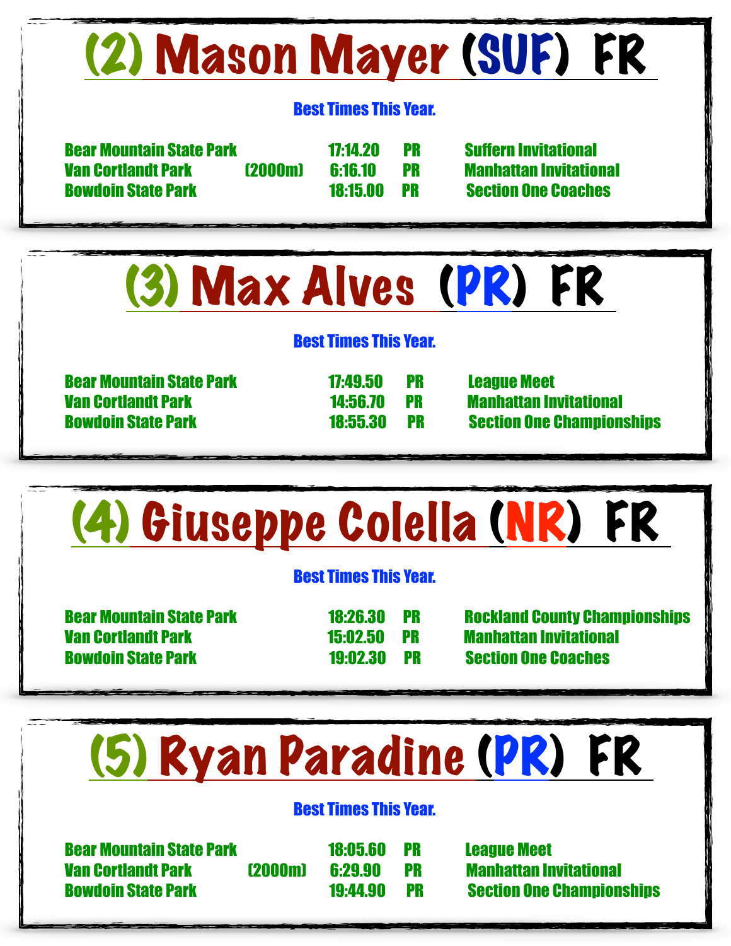### (2) Mason Mayer (SUF) FR

#### Best Times This Year.

 Bear Mountain State Park 17:14.20 PR Suffern Invitational Van Cortlandt Park (2000m) 6:16.10 PR Manhattan Invitational Bowdoin State Park 18:15.00 PR Section One Coaches

(3) Max Alves (PR) FR

#### Best Times This Year.

 Bear Mountain State Park 17:49.50 PR League Meet Van Cortlandt Park 14:56.70 PR Manhattan Invitational

Bowdoin State Park 18:55.30 PR Section One Championships

### (4) Giuseppe Colella (NR) FR

#### Best Times This Year.

 Van Cortlandt Park 15:02.50 PR Manhattan Invitational Bowdoin State Park 19:02.30 PR Section One Coaches

Bear Mountain State Park 18:26.30 PR Rockland County Championships

### (5) Ryan Paradine (PR) FR

#### Best Times This Year.

 Bear Mountain State Park 18:05.60 PR League Meet Van Cortlandt Park (2000m) 6:29.90 PR Manhattan Invitational Bowdoin State Park 19:44.90 PR Section One Championships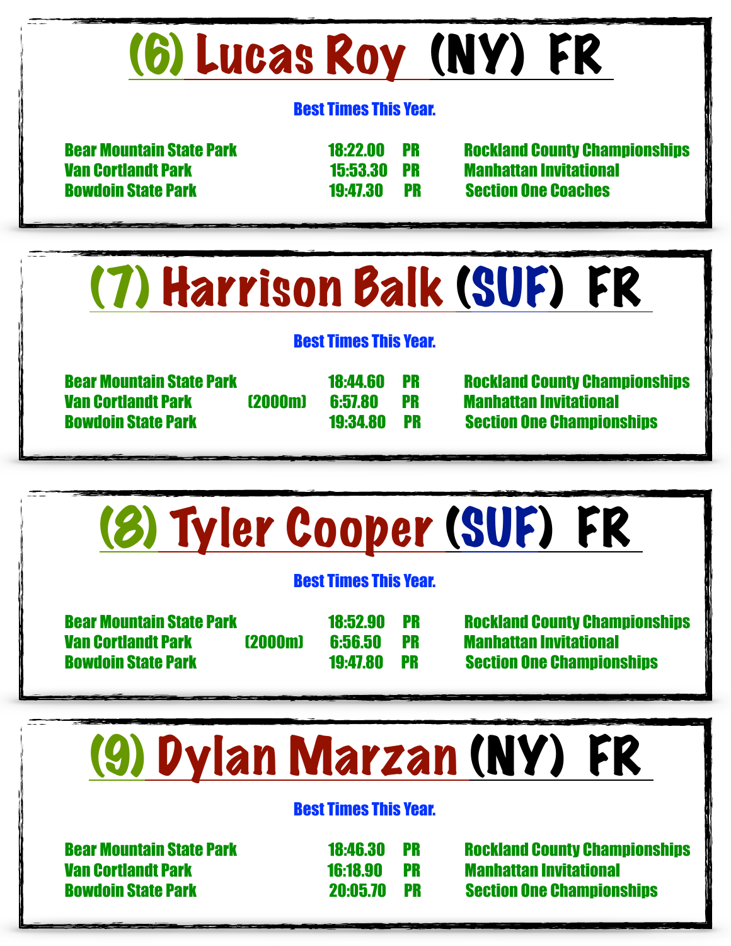# (6) Lucas Roy (NY) FR

#### Best Times This Year.

 Van Cortlandt Park 15:53.30 PR Manhattan Invitational Bowdoin State Park 19:47.30 PR Section One Coaches

Bear Mountain State Park 18:22.00 PR Rockland County Championships

### (7) Harrison Balk (SUF) FR

#### Best Times This Year.

Van Cortlandt Park (2000m) 6:57.80 PR Manhattan Invitational

Bear Mountain State Park 18:44.60 PR Rockland County Championships Bowdoin State Park 19:34.80 PR Section One Championships

# (8) Tyler Cooper (SUF) FR

#### Best Times This Year.

Van Cortlandt Park (2000m) 6:56.50 PR Manhattan Invitational

Bear Mountain State Park 18:52.90 PR Rockland County Championships Bowdoin State Park 19:47.80 PR Section One Championships

# (9) Dylan Marzan (NY) FR

#### Best Times This Year.

Van Cortlandt Park 16:18.90 PR Manhattan Invitational

Bear Mountain State Park 18:46.30 PR Rockland County Championships Bowdoin State Park 20:05.70 PR Section One Championships